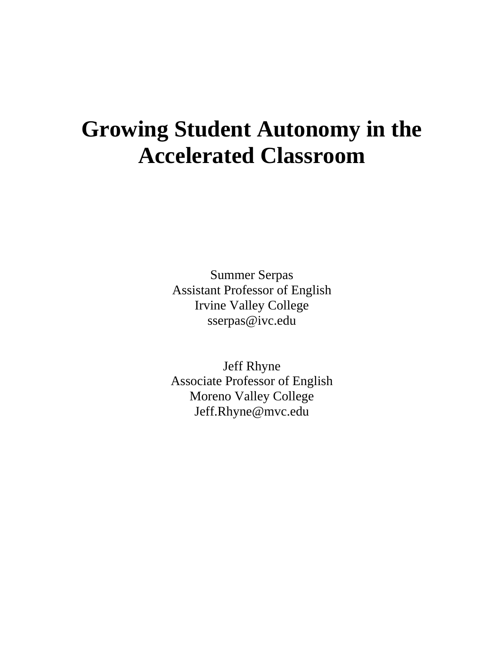# **Growing Student Autonomy in the Accelerated Classroom**

Summer Serpas Assistant Professor of English Irvine Valley College sserpas@ivc.edu

Jeff Rhyne Associate Professor of English Moreno Valley College Jeff.Rhyne@mvc.edu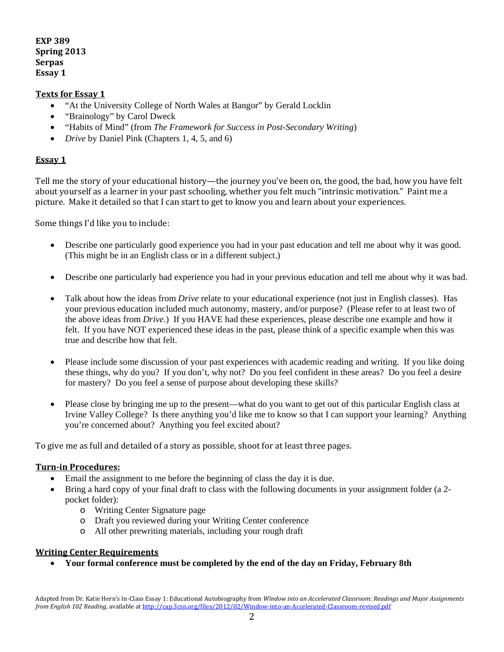**EXP 389 Spring 2013 Serpas Essay 1** 

#### **Texts for Essay 1**

- "At the University College of North Wales at Bangor" by Gerald Locklin
- "Brainology" by Carol Dweck
- "Habits of Mind" (from *The Framework for Success in Post-Secondary Writing*)
- *Drive* by Daniel Pink (Chapters 1, 4, 5, and 6)

#### **Essay 1**

Tell me the story of your educational history—the journey you've been on, the good, the bad, how you have felt about yourself as a learner in your past schooling, whether you felt much "intrinsic motivation." Paint me a picture. Make it detailed so that I can start to get to know you and learn about your experiences.

Some things I'd like you to include:

- Describe one particularly good experience you had in your past education and tell me about why it was good. (This might be in an English class or in a different subject.)
- Describe one particularly bad experience you had in your previous education and tell me about why it was bad.
- Talk about how the ideas from *Drive* relate to your educational experience (not just in English classes). Has your previous education included much autonomy, mastery, and/or purpose? (Please refer to at least two of the above ideas from *Drive*.) If you HAVE had these experiences, please describe one example and how it felt. If you have NOT experienced these ideas in the past, please think of a specific example when this was true and describe how that felt.
- Please include some discussion of your past experiences with academic reading and writing. If you like doing these things, why do you? If you don't, why not? Do you feel confident in these areas? Do you feel a desire for mastery? Do you feel a sense of purpose about developing these skills?
- Please close by bringing me up to the present—what do you want to get out of this particular English class at Irvine Valley College? Is there anything you'd like me to know so that I can support your learning? Anything you're concerned about? Anything you feel excited about?

To give me as full and detailed of a story as possible, shoot for at least three pages.

#### **Turnin Procedures:**

- Email the assignment to me before the beginning of class the day it is due.
- Bring a hard copy of your final draft to class with the following documents in your assignment folder (a 2pocket folder):
	- o Writing Center Signature page
	- o Draft you reviewed during your Writing Center conference
	- o All other prewriting materials, including your rough draft

#### **Writing Center Requirements**

• **Your formal conference must be completed by the end of the day on Friday, February 8th**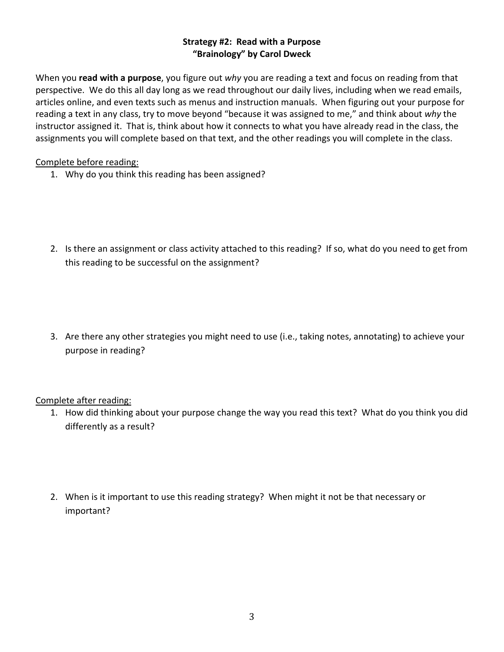#### **Strategy #2: Read with a Purpose "Brainology" by Carol Dweck**

When you **read with a purpose**, you figure out *why* you are reading a text and focus on reading from that perspective. We do this all day long as we read throughout our daily lives, including when we read emails, articles online, and even texts such as menus and instruction manuals. When figuring out your purpose for reading a text in any class, try to move beyond "because it was assigned to me," and think about *why* the instructor assigned it. That is, think about how it connects to what you have already read in the class, the assignments you will complete based on that text, and the other readings you will complete in the class.

## Complete before reading:

- 1. Why do you think this reading has been assigned?
- 2. Is there an assignment or class activity attached to this reading? If so, what do you need to get from this reading to be successful on the assignment?
- 3. Are there any other strategies you might need to use (i.e., taking notes, annotating) to achieve your purpose in reading?

# Complete after reading:

- 1. How did thinking about your purpose change the way you read this text? What do you think you did differently as a result?
- 2. When is it important to use this reading strategy? When might it not be that necessary or important?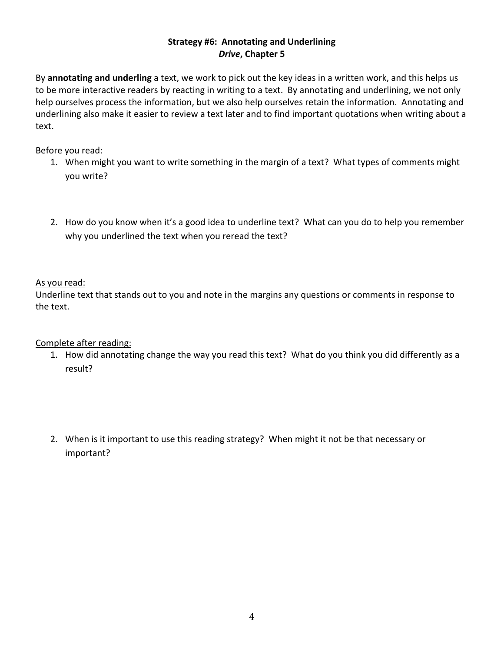#### **Strategy #6: Annotating and Underlining** *Drive***, Chapter 5**

By **annotating and underling** a text, we work to pick out the key ideas in a written work, and this helps us to be more interactive readers by reacting in writing to a text. By annotating and underlining, we not only help ourselves process the information, but we also help ourselves retain the information. Annotating and underlining also make it easier to review a text later and to find important quotations when writing about a text.

## Before you read:

- 1. When might you want to write something in the margin of a text? What types of comments might you write?
- 2. How do you know when it's a good idea to underline text? What can you do to help you remember why you underlined the text when you reread the text?

# As you read:

Underline text that stands out to you and note in the margins any questions or comments in response to the text.

# Complete after reading:

- 1. How did annotating change the way you read this text? What do you think you did differently as a result?
- 2. When is it important to use this reading strategy? When might it not be that necessary or important?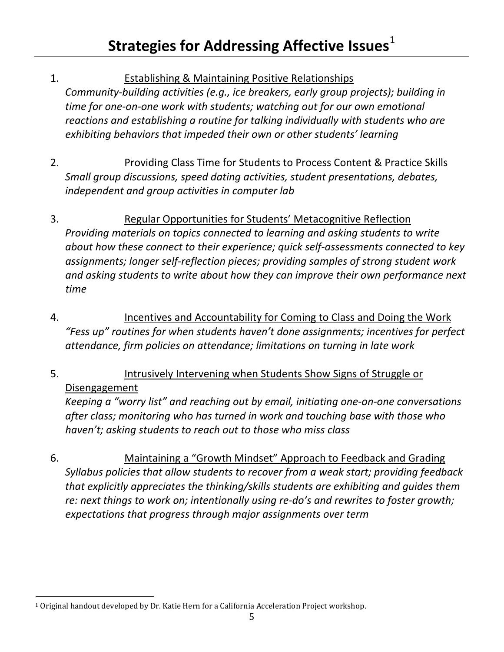1. Establishing & Maintaining Positive Relationships

*Community‐building activities (e.g., ice breakers, early group projects); building in time for one‐on‐one work with students; watching out for our own emotional reactions and establishing a routine for talking individually with students who are exhibiting behaviors that impeded their own or other students' learning*

- 2. Providing Class Time for Students to Process Content & Practice Skills *Small group discussions, speed dating activities, student presentations, debates, independent and group activities in computer lab*
- 3. Regular Opportunities for Students' Metacognitive Reflection *Providing materials on topics connected to learning and asking students to write about how these connect to their experience; quick self‐assessments connected to key assignments; longer self‐reflection pieces; providing samples of strong student work and asking students to write about how they can improve their own performance next time*
- 4. Incentives and Accountability for Coming to Class and Doing the Work *"Fess up" routines for when students haven't done assignments; incentives for perfect attendance, firm policies on attendance; limitations on turning in late work*
- 5. Intrusively Intervening when Students Show Signs of Struggle or Disengagement

*Keeping a "worry list" and reaching out by email, initiating one‐on‐one conversations after class; monitoring who has turned in work and touching base with those who haven't; asking students to reach out to those who miss class*

6. Maintaining a "Growth Mindset" Approach to Feedback and Grading *Syllabus policies that allow students to recover from a weak start; providing feedback that explicitly appreciates the thinking/skills students are exhibiting and guides them re: next things to work on; intentionally using re‐do's and rewrites to foster growth; expectations that progress through major assignments over term*

<span id="page-4-0"></span> 1 Original handout developed by Dr. Katie Hern for a California Acceleration Project workshop.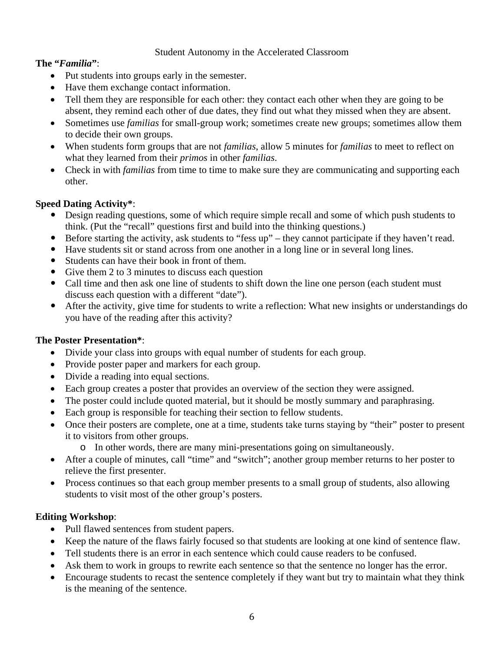#### Student Autonomy in the Accelerated Classroom

## **The "***Familia***"**:

- Put students into groups early in the semester.
- Have them exchange contact information.
- Tell them they are responsible for each other: they contact each other when they are going to be absent, they remind each other of due dates, they find out what they missed when they are absent.
- Sometimes use *familias* for small-group work; sometimes create new groups; sometimes allow them to decide their own groups.
- When students form groups that are not *familias*, allow 5 minutes for *familias* to meet to reflect on what they learned from their *primos* in other *familias*.
- Check in with *familias* from time to time to make sure they are communicating and supporting each other.

# **Speed Dating Activity\***:

- Design reading questions, some of which require simple recall and some of which push students to think. (Put the "recall" questions first and build into the thinking questions.)
- Before starting the activity, ask students to "fess up" they cannot participate if they haven't read.
- y Have students sit or stand across from one another in a long line or in several long lines.
- Students can have their book in front of them.
- Give them 2 to 3 minutes to discuss each question
- Call time and then ask one line of students to shift down the line one person (each student must) discuss each question with a different "date").
- After the activity, give time for students to write a reflection: What new insights or understandings do you have of the reading after this activity?

## **The Poster Presentation\***:

- Divide your class into groups with equal number of students for each group.
- Provide poster paper and markers for each group.
- Divide a reading into equal sections.
- Each group creates a poster that provides an overview of the section they were assigned.
- The poster could include quoted material, but it should be mostly summary and paraphrasing.
- Each group is responsible for teaching their section to fellow students.
- Once their posters are complete, one at a time, students take turns staying by "their" poster to present it to visitors from other groups.
	- o In other words, there are many mini-presentations going on simultaneously.
- After a couple of minutes, call "time" and "switch"; another group member returns to her poster to relieve the first presenter.
- Process continues so that each group member presents to a small group of students, also allowing students to visit most of the other group's posters.

## **Editing Workshop**:

- Pull flawed sentences from student papers.
- Keep the nature of the flaws fairly focused so that students are looking at one kind of sentence flaw.
- Tell students there is an error in each sentence which could cause readers to be confused.
- Ask them to work in groups to rewrite each sentence so that the sentence no longer has the error.
- Encourage students to recast the sentence completely if they want but try to maintain what they think is the meaning of the sentence.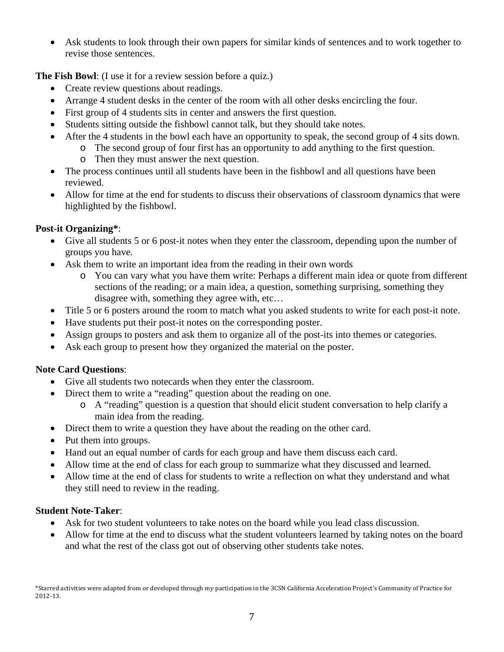• Ask students to look through their own papers for similar kinds of sentences and to work together to revise those sentences.

**The Fish Bowl**: (I use it for a review session before a quiz.)

- Create review questions about readings.
- Arrange 4 student desks in the center of the room with all other desks encircling the four.
- First group of 4 students sits in center and answers the first question.
- Students sitting outside the fishbowl cannot talk, but they should take notes.
- After the 4 students in the bowl each have an opportunity to speak, the second group of 4 sits down.
	- o The second group of four first has an opportunity to add anything to the first question.
		- o Then they must answer the next question.
- The process continues until all students have been in the fishbowl and all questions have been reviewed.
- Allow for time at the end for students to discuss their observations of classroom dynamics that were highlighted by the fishbowl.

# **Post-it Organizing\***:

- Give all students 5 or 6 post-it notes when they enter the classroom, depending upon the number of groups you have.
- Ask them to write an important idea from the reading in their own words
	- o You can vary what you have them write: Perhaps a different main idea or quote from different sections of the reading; or a main idea, a question, something surprising, something they disagree with, something they agree with, etc…
- Title 5 or 6 posters around the room to match what you asked students to write for each post-it note.
- Have students put their post-it notes on the corresponding poster.
- Assign groups to posters and ask them to organize all of the post-its into themes or categories.
- Ask each group to present how they organized the material on the poster.

## **Note Card Questions**:

- Give all students two notecards when they enter the classroom.
- Direct them to write a "reading" question about the reading on one.
	- o A "reading" question is a question that should elicit student conversation to help clarify a main idea from the reading.
- Direct them to write a question they have about the reading on the other card.
- Put them into groups.
- Hand out an equal number of cards for each group and have them discuss each card.
- Allow time at the end of class for each group to summarize what they discussed and learned.
- Allow time at the end of class for students to write a reflection on what they understand and what they still need to review in the reading.

## **Student Note-Taker**:

- Ask for two student volunteers to take notes on the board while you lead class discussion.
- Allow for time at the end to discuss what the student volunteers learned by taking notes on the board and what the rest of the class got out of observing other students take notes.

\*Starred activities were adapted from or developed through my participation in the 3CSN California Acceleration Project's Community of Practice for 2012‐13.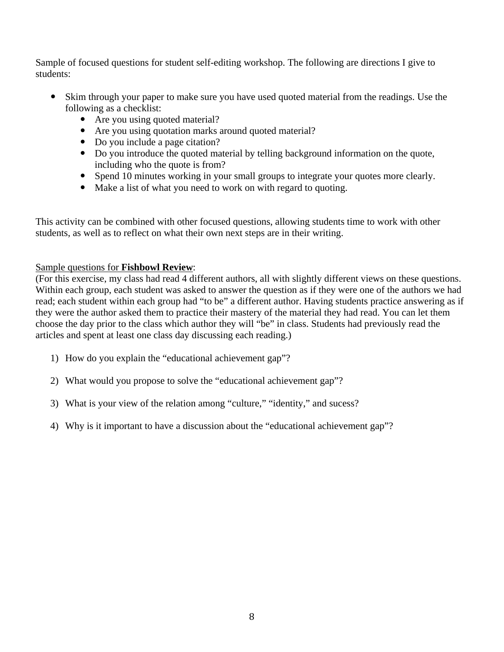Sample of focused questions for student self-editing workshop. The following are directions I give to students:

- Skim through your paper to make sure you have used quoted material from the readings. Use the following as a checklist:
	- Are you using quoted material?
	- Are you using quotation marks around quoted material?
	- Do you include a page citation?
	- Do you introduce the quoted material by telling background information on the quote, including who the quote is from?
	- Spend 10 minutes working in your small groups to integrate your quotes more clearly.
	- Make a list of what you need to work on with regard to quoting.

This activity can be combined with other focused questions, allowing students time to work with other students, as well as to reflect on what their own next steps are in their writing.

## Sample questions for **Fishbowl Review**:

(For this exercise, my class had read 4 different authors, all with slightly different views on these questions. Within each group, each student was asked to answer the question as if they were one of the authors we had read; each student within each group had "to be" a different author. Having students practice answering as if they were the author asked them to practice their mastery of the material they had read. You can let them choose the day prior to the class which author they will "be" in class. Students had previously read the articles and spent at least one class day discussing each reading.)

- 1) How do you explain the "educational achievement gap"?
- 2) What would you propose to solve the "educational achievement gap"?
- 3) What is your view of the relation among "culture," "identity," and sucess?
- 4) Why is it important to have a discussion about the "educational achievement gap"?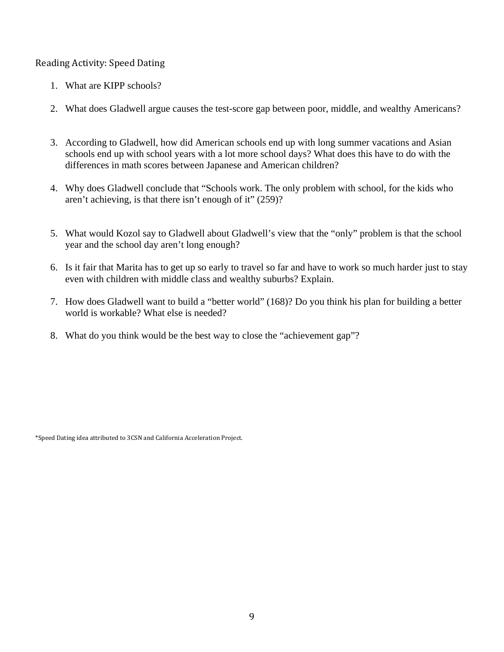# Reading Activity: Speed Dating

- 1. What are KIPP schools?
- 2. What does Gladwell argue causes the test-score gap between poor, middle, and wealthy Americans?
- 3. According to Gladwell, how did American schools end up with long summer vacations and Asian schools end up with school years with a lot more school days? What does this have to do with the differences in math scores between Japanese and American children?
- 4. Why does Gladwell conclude that "Schools work. The only problem with school, for the kids who aren't achieving, is that there isn't enough of it" (259)?
- 5. What would Kozol say to Gladwell about Gladwell's view that the "only" problem is that the school year and the school day aren't long enough?
- 6. Is it fair that Marita has to get up so early to travel so far and have to work so much harder just to stay even with children with middle class and wealthy suburbs? Explain.
- 7. How does Gladwell want to build a "better world" (168)? Do you think his plan for building a better world is workable? What else is needed?
- 8. What do you think would be the best way to close the "achievement gap"?

\*Speed Dating idea attributed to 3CSN and California Acceleration Project.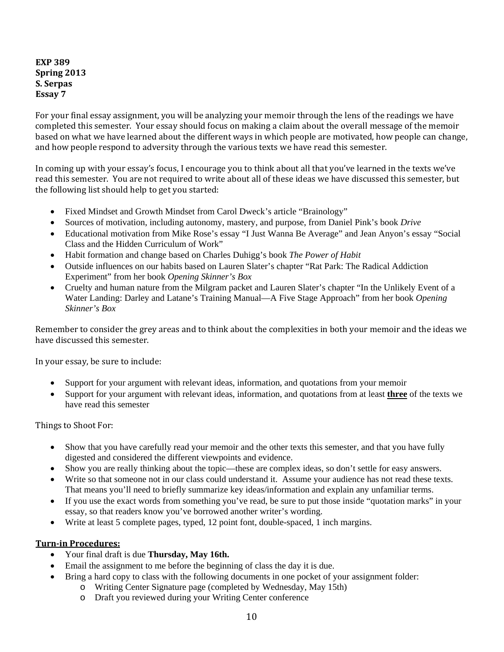#### **EXP 389 Spring 2013 S. Serpas Essay 7**

For your final essay assignment, you will be analyzing your memoir through the lens of the readings we have completed this semester. Your essay should focus on making a claim about the overall message of the memoir based on what we have learned about the different ways in which people are motivated, how people can change, and how people respond to adversity through the various texts we have read this semester.

In coming up with your essay's focus, I encourage you to think about all that you've learned in the texts we've read this semester. You are not required to write about all of these ideas we have discussed this semester, but the following list should help to get you started:

- Fixed Mindset and Growth Mindset from Carol Dweck's article "Brainology"
- Sources of motivation, including autonomy, mastery, and purpose, from Daniel Pink's book *Drive*
- Educational motivation from Mike Rose's essay "I Just Wanna Be Average" and Jean Anyon's essay "Social Class and the Hidden Curriculum of Work"
- Habit formation and change based on Charles Duhigg's book *The Power of Habit*
- Outside influences on our habits based on Lauren Slater's chapter "Rat Park: The Radical Addiction Experiment" from her book *Opening Skinner's Box*
- Cruelty and human nature from the Milgram packet and Lauren Slater's chapter "In the Unlikely Event of a Water Landing: Darley and Latane's Training Manual—A Five Stage Approach" from her book *Opening Skinner's Box*

Remember to consider the grey areas and to think about the complexities in both your memoir and the ideas we have discussed this semester.

In your essay, be sure to include:

- Support for your argument with relevant ideas, information, and quotations from your memoir
- Support for your argument with relevant ideas, information, and quotations from at least **three** of the texts we have read this semester

Things to Shoot For:

- Show that you have carefully read your memoir and the other texts this semester, and that you have fully digested and considered the different viewpoints and evidence.
- Show you are really thinking about the topic—these are complex ideas, so don't settle for easy answers.
- Write so that someone not in our class could understand it. Assume your audience has not read these texts. That means you'll need to briefly summarize key ideas/information and explain any unfamiliar terms.
- If you use the exact words from something you've read, be sure to put those inside "quotation marks" in your essay, so that readers know you've borrowed another writer's wording.
- Write at least 5 complete pages, typed, 12 point font, double-spaced, 1 inch margins.

#### **Turnin Procedures:**

- Your final draft is due **Thursday, May 16th.**
- Email the assignment to me before the beginning of class the day it is due.
- Bring a hard copy to class with the following documents in one pocket of your assignment folder:
	- o Writing Center Signature page (completed by Wednesday, May 15th)
	- o Draft you reviewed during your Writing Center conference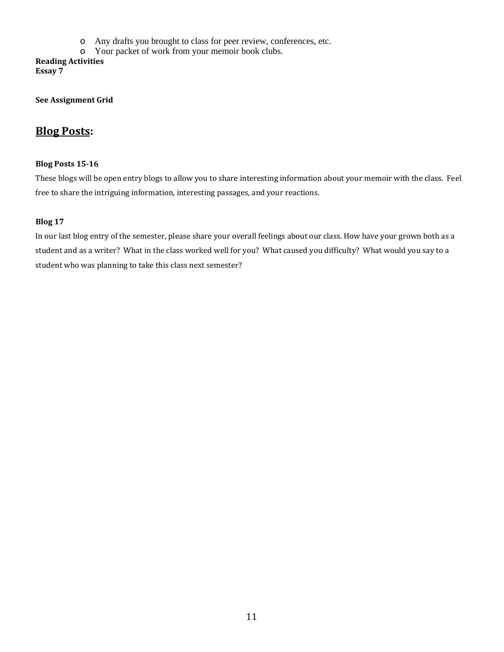- o Any drafts you brought to class for peer review, conferences, etc.
- o Your packet of work from your memoir book clubs.

**Reading Activities Essay 7**

**See Assignment Grid**

# **Blog Posts:**

#### **Blog Posts 1516**

These blogs will be open entry blogs to allow you to share interesting information about your memoir with the class. Feel free to share the intriguing information, interesting passages, and your reactions.

#### **Blog 17**

In our last blog entry of the semester, please share your overall feelings about our class. How have your grown both as a student and as a writer? What in the class worked well for you? What caused you difficulty? What would you say to a student who was planning to take this class next semester?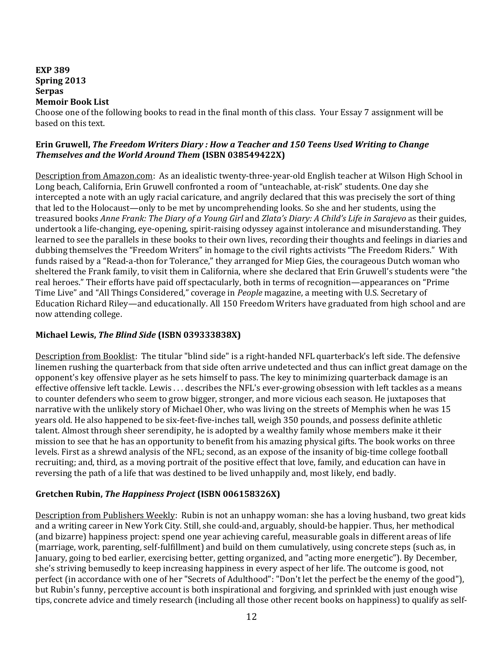#### **EXP 389 Spring 2013 Serpas Memoir Book List**

Choose one of the following books to read in the final month of this class. Your Essay 7 assignment will be based on this text.

#### **Erin Gruwell,** *The Freedom Writers Diary : How a Teacher and 150 Teens Used Writing to Change Themselves and the World Around Them* **(ISBN 038549422X)**

Description from Amazon.com: As an idealistic twenty‐three‐year‐old English teacher at Wilson High School in Long beach, California, Erin Gruwell confronted a room of "unteachable, at-risk" students. One day she intercepted a note with an ugly racial caricature, and angrily declared that this was precisely the sort of thing that led to the Holocaust—only to be met by uncomprehending looks. So she and her students, using the treasured books *Anne Frank: The Diary of a Young Girl* and *Zlata's Diary: A Child's Life in Sarajevo* as their guides, undertook a life-changing, eye-opening, spirit-raising odyssey against intolerance and misunderstanding. They learned to see the parallels in these books to their own lives, recording their thoughts and feelings in diaries and dubbing themselves the "Freedom Writers" in homage to the civil rights activists "The Freedom Riders." With funds raised by a "Read-a-thon for Tolerance," they arranged for Miep Gies, the courageous Dutch woman who sheltered the Frank family, to visit them in California, where she declared that Erin Gruwell's students were "the real heroes." Their efforts have paid off spectacularly, both in terms of recognition—appearances on "Prime Time Live" and "All Things Considered," coverage in *People* magazine, a meeting with U.S. Secretary of Education Richard Riley—and educationally. All 150 Freedom Writers have graduated from high school and are now attending college.

## **Michael Lewis,** *The Blind Side* **(ISBN 039333838X)**

Description from Booklist: The titular "blind side" is a right-handed NFL quarterback's left side. The defensive linemen rushing the quarterback from that side often arrive undetected and thus can inflict great damage on the opponent's key offensive player as he sets himself to pass. The key to minimizing quarterback damage is an effective offensive left tackle. Lewis . . . describes the NFL's ever‐growing obsession with left tackles as a means to counter defenders who seem to grow bigger, stronger, and more vicious each season. He juxtaposes that narrative with the unlikely story of Michael Oher, who was living on the streets of Memphis when he was 15 years old. He also happened to be six‐feet‐five‐inches tall, weigh 350 pounds, and possess definite athletic talent. Almost through sheer serendipity, he is adopted by a wealthy family whose members make it their mission to see that he has an opportunity to benefit from his amazing physical gifts. The book works on three levels. First as a shrewd analysis of the NFL; second, as an expose of the insanity of big-time college football recruiting; and, third, as a moving portrait of the positive effect that love, family, and education can have in reversing the path of a life that was destined to be lived unhappily and, most likely, end badly.

#### **Gretchen Rubin,** *The Happiness Project* **(ISBN 006158326X)**

Description from Publishers Weekly: Rubin is not an unhappy woman: she has a loving husband, two great kids and a writing career in New York City. Still, she could‐and, arguably, should‐be happier. Thus, her methodical (and bizarre) happiness project: spend one year achieving careful, measurable goals in different areas of life (marriage, work, parenting, self‐fulfillment) and build on them cumulatively, using concrete steps (such as, in January, going to bed earlier, exercising better, getting organized, and "acting more energetic"). By December, she's striving bemusedly to keep increasing happiness in every aspect of her life. The outcome is good, not perfect (in accordance with one of her "Secrets of Adulthood": "Don't let the perfect be the enemy of the good"), but Rubin's funny, perceptive account is both inspirational and forgiving, and sprinkled with just enough wise tips, concrete advice and timely research (including all those other recent books on happiness) to qualify as self‐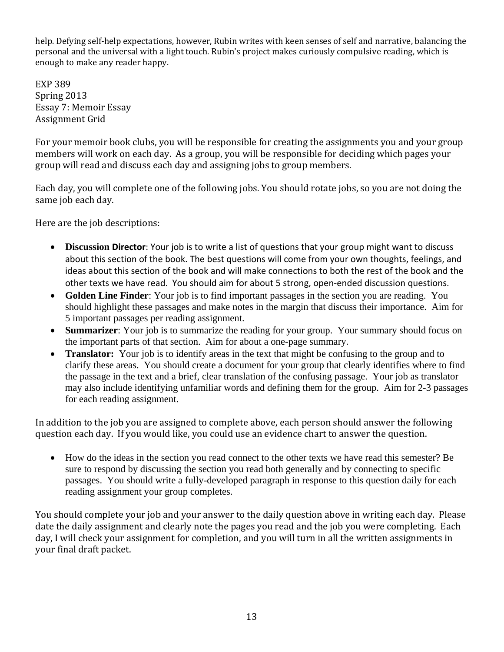help. Defying self‐help expectations, however, Rubin writes with keen senses of self and narrative, balancing the personal and the universal with a light touch. Rubin's project makes curiously compulsive reading, which is enough to make any reader happy.

EXP 389 Essay 7: Memoir Essay Spring 2013 Assignment Grid

For your memoir book clubs, you will be responsible for creating the assignments you and your group members will work on each day. As a group, you will be responsible for deciding which pages your group will read and discuss each day and assigning jobs to group members.

Each day, you will complete one of the following jobs. You should rotate jobs, so you are not doing the same job each day.

Here are the job descriptions:

- **Discussion Director**: Your job is to write a list of questions that your group might want to discuss about this section of the book. The best questions will come from your own thoughts, feelings, and ideas about this section of the book and will make connections to both the rest of the book and the other texts we have read. You should aim for about 5 strong, open‐ended discussion questions.
- **Golden Line Finder**: Your job is to find important passages in the section you are reading. You should highlight these passages and make notes in the margin that discuss their importance. Aim for 5 important passages per reading assignment.
- **Summarizer**: Your job is to summarize the reading for your group. Your summary should focus on the important parts of that section. Aim for about a one-page summary.
- **Translator:** Your job is to identify areas in the text that might be confusing to the group and to clarify these areas. You should create a document for your group that clearly identifies where to find the passage in the text and a brief, clear translation of the confusing passage. Your job as translator may also include identifying unfamiliar words and defining them for the group. Aim for 2-3 passages for each reading assignment.

n addition to the job you are assigned to complete above, each person should answer the following I question each day. If you would like, you could use an evidence chart to answer the question.

• How do the ideas in the section you read connect to the other texts we have read this semester? Be sure to respond by discussing the section you read both generally and by connecting to specific passages. You should write a fully-developed paragraph in response to this question daily for each reading assignment your group completes.

You should complete your job and your answer to the daily question above in writing each day. Please date the daily assignment and clearly note the pages you read and the job you were completing. Each day, I will check your assignment for completion, and you will turn in all the written assignments in your final draft packet.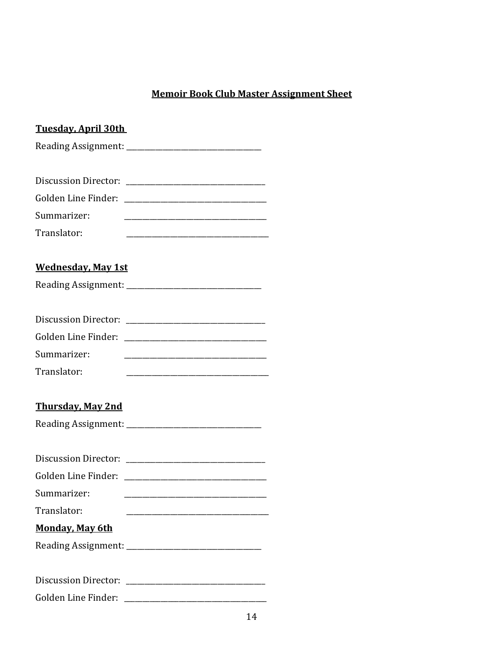# **Memoir Book Club Master Assignment Sheet**

| <b>Tuesday, April 30th</b>                                                      |
|---------------------------------------------------------------------------------|
|                                                                                 |
|                                                                                 |
|                                                                                 |
| Golden Line Finder:                                                             |
| Summarizer:                                                                     |
| Translator:                                                                     |
|                                                                                 |
| <u>Wednesday, May 1st</u>                                                       |
|                                                                                 |
|                                                                                 |
|                                                                                 |
| Golden Line Finder:                                                             |
| Summarizer:                                                                     |
| Translator:<br><u> 1980 - Jan James James Barnett, fransk politik (d. 1980)</u> |
|                                                                                 |
| <u>Thursday, May 2nd</u>                                                        |
|                                                                                 |
|                                                                                 |
| Discussion Director: 2008. [19] Discussion Director:                            |
| Golden Line Finder:                                                             |
| Summarizer:                                                                     |
| Translator:                                                                     |
| <b>Monday, May 6th</b>                                                          |
|                                                                                 |
|                                                                                 |
|                                                                                 |
|                                                                                 |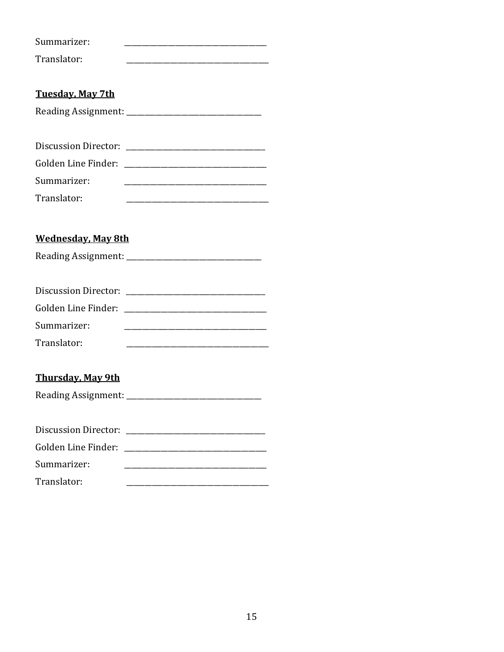| Summarizer:                 |
|-----------------------------|
| Translator:                 |
|                             |
| <b>Tuesday, May 7th</b>     |
|                             |
|                             |
|                             |
|                             |
| Summarizer:                 |
| Translator:                 |
|                             |
| <b>Wednesday, May 8th</b>   |
|                             |
|                             |
|                             |
|                             |
| Summarizer:                 |
| Translator:                 |
|                             |
| <b>Thursday, May 9th</b>    |
|                             |
|                             |
| <b>Discussion Director:</b> |
| Golden Line Finder:         |
| Summarizer:                 |
| Translator:                 |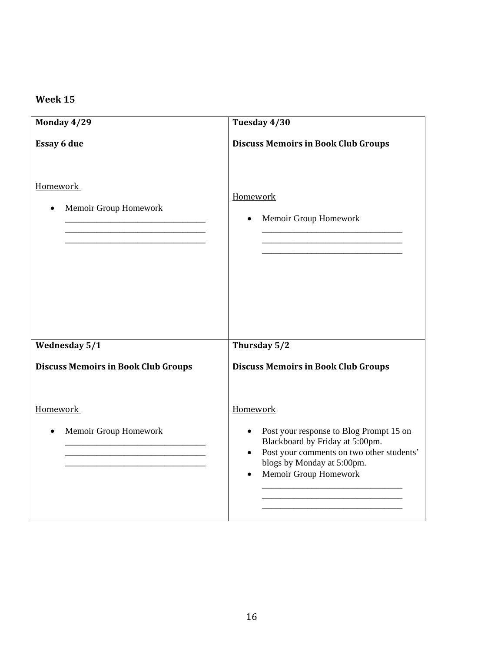# **Week 15**

| Monday 4/29                                | Tuesday 4/30                                                                                                                                                  |
|--------------------------------------------|---------------------------------------------------------------------------------------------------------------------------------------------------------------|
| <b>Essay 6 due</b>                         | <b>Discuss Memoirs in Book Club Groups</b>                                                                                                                    |
| <b>Homework</b><br>Memoir Group Homework   | Homework<br>Memoir Group Homework                                                                                                                             |
| <b>Wednesday 5/1</b>                       | Thursday 5/2                                                                                                                                                  |
| <b>Discuss Memoirs in Book Club Groups</b> | <b>Discuss Memoirs in Book Club Groups</b>                                                                                                                    |
| Homework<br>Memoir Group Homework          | Homework<br>Post your response to Blog Prompt 15 on<br>$\bullet$                                                                                              |
|                                            | Blackboard by Friday at 5:00pm.<br>Post your comments on two other students'<br>$\bullet$<br>blogs by Monday at 5:00pm.<br>Memoir Group Homework<br>$\bullet$ |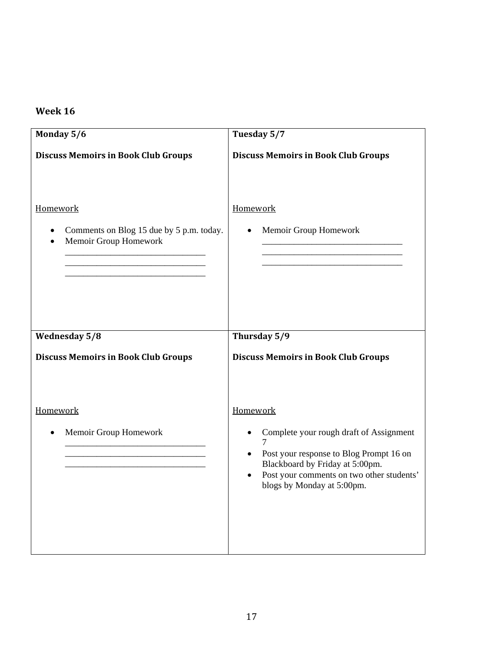# **Week 16**

| Monday 5/6                                                                    | Tuesday 5/7                                                                                                                                                                                                               |
|-------------------------------------------------------------------------------|---------------------------------------------------------------------------------------------------------------------------------------------------------------------------------------------------------------------------|
| <b>Discuss Memoirs in Book Club Groups</b>                                    | <b>Discuss Memoirs in Book Club Groups</b>                                                                                                                                                                                |
| Homework<br>Comments on Blog 15 due by 5 p.m. today.<br>Memoir Group Homework | Homework<br>Memoir Group Homework                                                                                                                                                                                         |
| <b>Wednesday 5/8</b>                                                          | Thursday 5/9                                                                                                                                                                                                              |
| <b>Discuss Memoirs in Book Club Groups</b>                                    | <b>Discuss Memoirs in Book Club Groups</b>                                                                                                                                                                                |
| Homework<br>Memoir Group Homework                                             | Homework<br>Complete your rough draft of Assignment<br>Post your response to Blog Prompt 16 on<br>Blackboard by Friday at 5:00pm.<br>Post your comments on two other students'<br>$\bullet$<br>blogs by Monday at 5:00pm. |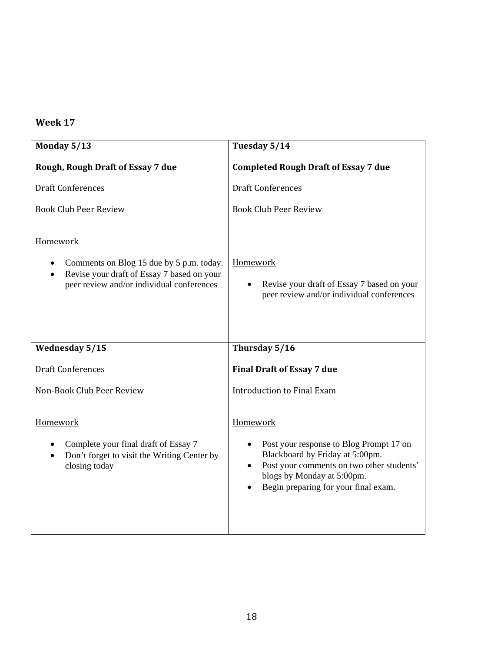# **Week 17**

| Monday 5/13                                                                                                                                     | Tuesday 5/14                                                                                                                                                                                              |
|-------------------------------------------------------------------------------------------------------------------------------------------------|-----------------------------------------------------------------------------------------------------------------------------------------------------------------------------------------------------------|
| Rough, Rough Draft of Essay 7 due                                                                                                               | <b>Completed Rough Draft of Essay 7 due</b>                                                                                                                                                               |
| <b>Draft Conferences</b>                                                                                                                        | <b>Draft Conferences</b>                                                                                                                                                                                  |
| <b>Book Club Peer Review</b>                                                                                                                    | <b>Book Club Peer Review</b>                                                                                                                                                                              |
| Homework<br>Comments on Blog 15 due by 5 p.m. today.<br>Revise your draft of Essay 7 based on your<br>peer review and/or individual conferences | Homework<br>Revise your draft of Essay 7 based on your<br>peer review and/or individual conferences                                                                                                       |
| Wednesday 5/15                                                                                                                                  | Thursday $5/\overline{16}$                                                                                                                                                                                |
| <b>Draft Conferences</b>                                                                                                                        | <b>Final Draft of Essay 7 due</b>                                                                                                                                                                         |
| Non-Book Club Peer Review                                                                                                                       | <b>Introduction to Final Exam</b>                                                                                                                                                                         |
| Homework<br>Complete your final draft of Essay 7<br>Don't forget to visit the Writing Center by<br>closing today                                | Homework<br>Post your response to Blog Prompt 17 on<br>Blackboard by Friday at 5:00pm.<br>Post your comments on two other students'<br>blogs by Monday at 5:00pm.<br>Begin preparing for your final exam. |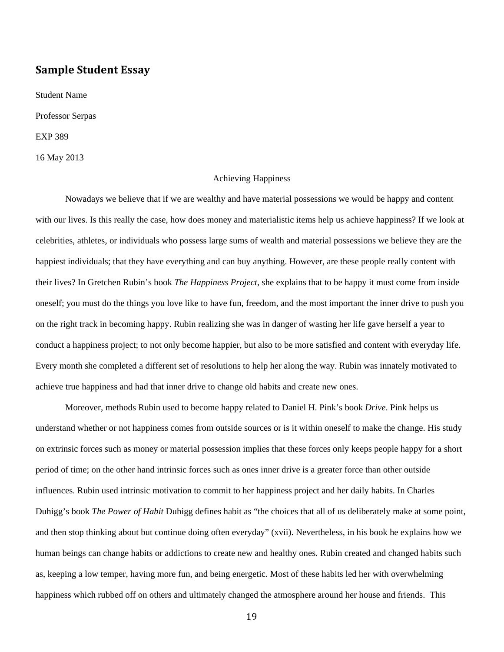# **Sample Student Essay**

Student Name Professor Serpas EXP 389 16 May 2013

#### Achieving Happiness

Nowadays we believe that if we are wealthy and have material possessions we would be happy and content with our lives. Is this really the case, how does money and materialistic items help us achieve happiness? If we look at celebrities, athletes, or individuals who possess large sums of wealth and material possessions we believe they are the happiest individuals; that they have everything and can buy anything. However, are these people really content with their lives? In Gretchen Rubin's book *The Happiness Project*, she explains that to be happy it must come from inside oneself; you must do the things you love like to have fun, freedom, and the most important the inner drive to push you on the right track in becoming happy. Rubin realizing she was in danger of wasting her life gave herself a year to conduct a happiness project; to not only become happier, but also to be more satisfied and content with everyday life. Every month she completed a different set of resolutions to help her along the way. Rubin was innately motivated to achieve true happiness and had that inner drive to change old habits and create new ones.

Moreover, methods Rubin used to become happy related to Daniel H. Pink's book *Drive*. Pink helps us understand whether or not happiness comes from outside sources or is it within oneself to make the change. His study on extrinsic forces such as money or material possession implies that these forces only keeps people happy for a short period of time; on the other hand intrinsic forces such as ones inner drive is a greater force than other outside influences. Rubin used intrinsic motivation to commit to her happiness project and her daily habits. In Charles Duhigg's book *The Power of Habit* Duhigg defines habit as "the choices that all of us deliberately make at some point, and then stop thinking about but continue doing often everyday" (xvii). Nevertheless, in his book he explains how we human beings can change habits or addictions to create new and healthy ones. Rubin created and changed habits such as, keeping a low temper, having more fun, and being energetic. Most of these habits led her with overwhelming happiness which rubbed off on others and ultimately changed the atmosphere around her house and friends. This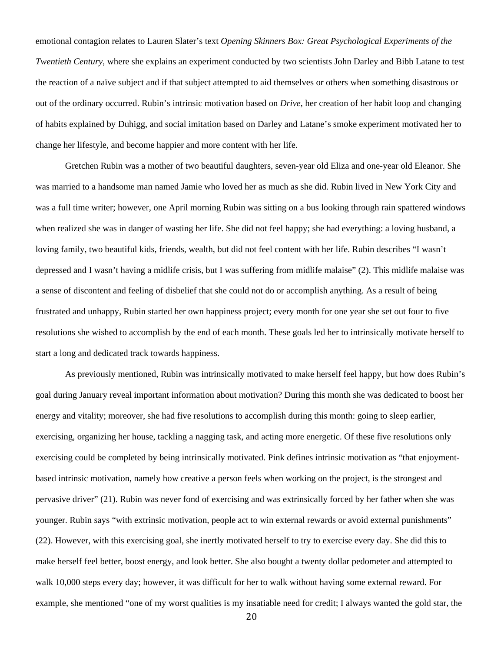emotional contagion relates to Lauren Slater's text *Opening Skinners Box: Great Psychological Experiments of the Twentieth Century*, where she explains an experiment conducted by two scientists John Darley and Bibb Latane to test the reaction of a naïve subject and if that subject attempted to aid themselves or others when something disastrous or out of the ordinary occurred. Rubin's intrinsic motivation based on *Drive*, her creation of her habit loop and changing of habits explained by Duhigg, and social imitation based on Darley and Latane's smoke experiment motivated her to change her lifestyle, and become happier and more content with her life.

Gretchen Rubin was a mother of two beautiful daughters, seven-year old Eliza and one-year old Eleanor. She was married to a handsome man named Jamie who loved her as much as she did. Rubin lived in New York City and was a full time writer; however, one April morning Rubin was sitting on a bus looking through rain spattered windows when realized she was in danger of wasting her life. She did not feel happy; she had everything: a loving husband, a loving family, two beautiful kids, friends, wealth, but did not feel content with her life. Rubin describes "I wasn't depressed and I wasn't having a midlife crisis, but I was suffering from midlife malaise" (2). This midlife malaise was a sense of discontent and feeling of disbelief that she could not do or accomplish anything. As a result of being frustrated and unhappy, Rubin started her own happiness project; every month for one year she set out four to five resolutions she wished to accomplish by the end of each month. These goals led her to intrinsically motivate herself to start a long and dedicated track towards happiness.

As previously mentioned, Rubin was intrinsically motivated to make herself feel happy, but how does Rubin's goal during January reveal important information about motivation? During this month she was dedicated to boost her energy and vitality; moreover, she had five resolutions to accomplish during this month: going to sleep earlier, exercising, organizing her house, tackling a nagging task, and acting more energetic. Of these five resolutions only exercising could be completed by being intrinsically motivated. Pink defines intrinsic motivation as "that enjoymentbased intrinsic motivation, namely how creative a person feels when working on the project, is the strongest and pervasive driver" (21). Rubin was never fond of exercising and was extrinsically forced by her father when she was younger. Rubin says "with extrinsic motivation, people act to win external rewards or avoid external punishments" (22). However, with this exercising goal, she inertly motivated herself to try to exercise every day. She did this to make herself feel better, boost energy, and look better. She also bought a twenty dollar pedometer and attempted to walk 10,000 steps every day; however, it was difficult for her to walk without having some external reward. For example, she mentioned "one of my worst qualities is my insatiable need for credit; I always wanted the gold star, the

20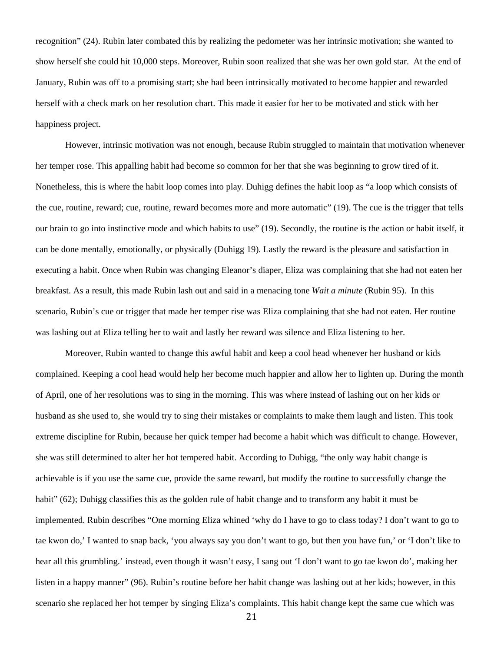recognition" (24). Rubin later combated this by realizing the pedometer was her intrinsic motivation; she wanted to show herself she could hit 10,000 steps. Moreover, Rubin soon realized that she was her own gold star. At the end of January, Rubin was off to a promising start; she had been intrinsically motivated to become happier and rewarded herself with a check mark on her resolution chart. This made it easier for her to be motivated and stick with her happiness project.

However, intrinsic motivation was not enough, because Rubin struggled to maintain that motivation whenever her temper rose. This appalling habit had become so common for her that she was beginning to grow tired of it. Nonetheless, this is where the habit loop comes into play. Duhigg defines the habit loop as "a loop which consists of the cue, routine, reward; cue, routine, reward becomes more and more automatic" (19). The cue is the trigger that tells our brain to go into instinctive mode and which habits to use" (19). Secondly, the routine is the action or habit itself, it can be done mentally, emotionally, or physically (Duhigg 19). Lastly the reward is the pleasure and satisfaction in executing a habit. Once when Rubin was changing Eleanor's diaper, Eliza was complaining that she had not eaten her breakfast. As a result, this made Rubin lash out and said in a menacing tone *Wait a minute* (Rubin 95). In this scenario, Rubin's cue or trigger that made her temper rise was Eliza complaining that she had not eaten. Her routine was lashing out at Eliza telling her to wait and lastly her reward was silence and Eliza listening to her.

Moreover, Rubin wanted to change this awful habit and keep a cool head whenever her husband or kids complained. Keeping a cool head would help her become much happier and allow her to lighten up. During the month of April, one of her resolutions was to sing in the morning. This was where instead of lashing out on her kids or husband as she used to, she would try to sing their mistakes or complaints to make them laugh and listen. This took extreme discipline for Rubin, because her quick temper had become a habit which was difficult to change. However, she was still determined to alter her hot tempered habit. According to Duhigg, "the only way habit change is achievable is if you use the same cue, provide the same reward, but modify the routine to successfully change the habit" (62); Duhigg classifies this as the golden rule of habit change and to transform any habit it must be implemented. Rubin describes "One morning Eliza whined 'why do I have to go to class today? I don't want to go to tae kwon do,' I wanted to snap back, 'you always say you don't want to go, but then you have fun,' or 'I don't like to hear all this grumbling.' instead, even though it wasn't easy, I sang out 'I don't want to go tae kwon do', making her listen in a happy manner" (96). Rubin's routine before her habit change was lashing out at her kids; however, in this scenario she replaced her hot temper by singing Eliza's complaints. This habit change kept the same cue which was

21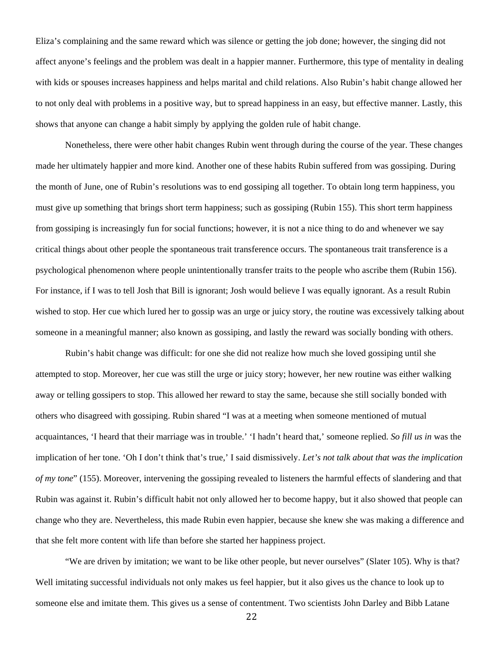Eliza's complaining and the same reward which was silence or getting the job done; however, the singing did not affect anyone's feelings and the problem was dealt in a happier manner. Furthermore, this type of mentality in dealing with kids or spouses increases happiness and helps marital and child relations. Also Rubin's habit change allowed her to not only deal with problems in a positive way, but to spread happiness in an easy, but effective manner. Lastly, this shows that anyone can change a habit simply by applying the golden rule of habit change.

 Nonetheless, there were other habit changes Rubin went through during the course of the year. These changes made her ultimately happier and more kind. Another one of these habits Rubin suffered from was gossiping. During the month of June, one of Rubin's resolutions was to end gossiping all together. To obtain long term happiness, you must give up something that brings short term happiness; such as gossiping (Rubin 155). This short term happiness from gossiping is increasingly fun for social functions; however, it is not a nice thing to do and whenever we say critical things about other people the spontaneous trait transference occurs. The spontaneous trait transference is a psychological phenomenon where people unintentionally transfer traits to the people who ascribe them (Rubin 156). For instance, if I was to tell Josh that Bill is ignorant; Josh would believe I was equally ignorant. As a result Rubin wished to stop. Her cue which lured her to gossip was an urge or juicy story, the routine was excessively talking about someone in a meaningful manner; also known as gossiping, and lastly the reward was socially bonding with others.

Rubin's habit change was difficult: for one she did not realize how much she loved gossiping until she attempted to stop. Moreover, her cue was still the urge or juicy story; however, her new routine was either walking away or telling gossipers to stop. This allowed her reward to stay the same, because she still socially bonded with others who disagreed with gossiping. Rubin shared "I was at a meeting when someone mentioned of mutual acquaintances, 'I heard that their marriage was in trouble.' 'I hadn't heard that,' someone replied. *So fill us in* was the implication of her tone. 'Oh I don't think that's true,' I said dismissively. *Let's not talk about that was the implication of my tone*" (155). Moreover, intervening the gossiping revealed to listeners the harmful effects of slandering and that Rubin was against it. Rubin's difficult habit not only allowed her to become happy, but it also showed that people can change who they are. Nevertheless, this made Rubin even happier, because she knew she was making a difference and that she felt more content with life than before she started her happiness project.

"We are driven by imitation; we want to be like other people, but never ourselves" (Slater 105). Why is that? Well imitating successful individuals not only makes us feel happier, but it also gives us the chance to look up to someone else and imitate them. This gives us a sense of contentment. Two scientists John Darley and Bibb Latane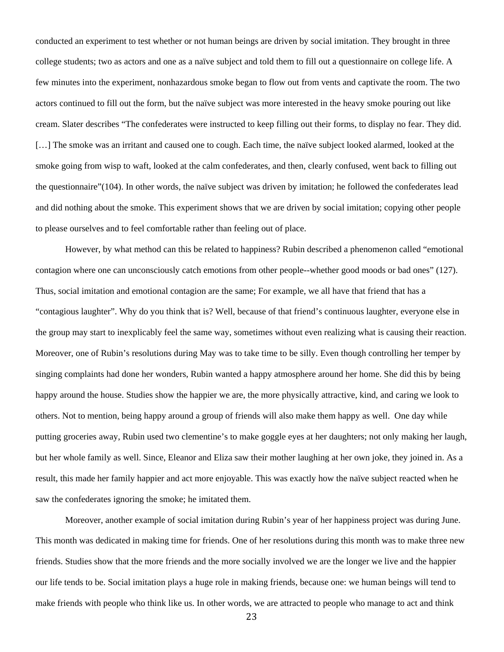conducted an experiment to test whether or not human beings are driven by social imitation. They brought in three college students; two as actors and one as a naïve subject and told them to fill out a questionnaire on college life. A few minutes into the experiment, nonhazardous smoke began to flow out from vents and captivate the room. The two actors continued to fill out the form, but the naïve subject was more interested in the heavy smoke pouring out like cream. Slater describes "The confederates were instructed to keep filling out their forms, to display no fear. They did. [...] The smoke was an irritant and caused one to cough. Each time, the naïve subject looked alarmed, looked at the smoke going from wisp to waft, looked at the calm confederates, and then, clearly confused, went back to filling out the questionnaire"(104). In other words, the naïve subject was driven by imitation; he followed the confederates lead and did nothing about the smoke. This experiment shows that we are driven by social imitation; copying other people to please ourselves and to feel comfortable rather than feeling out of place.

However, by what method can this be related to happiness? Rubin described a phenomenon called "emotional contagion where one can unconsciously catch emotions from other people--whether good moods or bad ones" (127). Thus, social imitation and emotional contagion are the same; For example, we all have that friend that has a "contagious laughter". Why do you think that is? Well, because of that friend's continuous laughter, everyone else in the group may start to inexplicably feel the same way, sometimes without even realizing what is causing their reaction. Moreover, one of Rubin's resolutions during May was to take time to be silly. Even though controlling her temper by singing complaints had done her wonders, Rubin wanted a happy atmosphere around her home. She did this by being happy around the house. Studies show the happier we are, the more physically attractive, kind, and caring we look to others. Not to mention, being happy around a group of friends will also make them happy as well. One day while putting groceries away, Rubin used two clementine's to make goggle eyes at her daughters; not only making her laugh, but her whole family as well. Since, Eleanor and Eliza saw their mother laughing at her own joke, they joined in. As a result, this made her family happier and act more enjoyable. This was exactly how the naïve subject reacted when he saw the confederates ignoring the smoke; he imitated them.

Moreover, another example of social imitation during Rubin's year of her happiness project was during June. This month was dedicated in making time for friends. One of her resolutions during this month was to make three new friends. Studies show that the more friends and the more socially involved we are the longer we live and the happier our life tends to be. Social imitation plays a huge role in making friends, because one: we human beings will tend to make friends with people who think like us. In other words, we are attracted to people who manage to act and think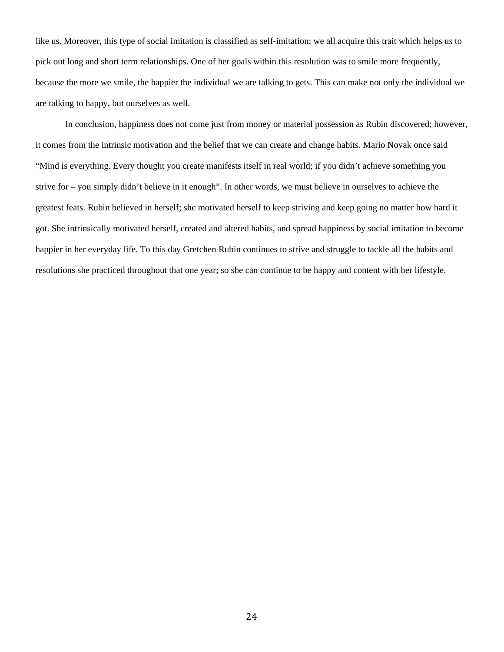like us. Moreover, this type of social imitation is classified as self-imitation; we all acquire this trait which helps us to pick out long and short term relationships. One of her goals within this resolution was to smile more frequently, because the more we smile, the happier the individual we are talking to gets. This can make not only the individual we are talking to happy, but ourselves as well.

In conclusion, happiness does not come just from money or material possession as Rubin discovered; however, it comes from the intrinsic motivation and the belief that we can create and change habits. Mario Novak once said "Mind is everything. Every thought you create manifests itself in real world; if you didn't achieve something you strive for – you simply didn't believe in it enough". In other words, we must believe in ourselves to achieve the greatest feats. Rubin believed in herself; she motivated herself to keep striving and keep going no matter how hard it got. She intrinsically motivated herself, created and altered habits, and spread happiness by social imitation to become happier in her everyday life. To this day Gretchen Rubin continues to strive and struggle to tackle all the habits and resolutions she practiced throughout that one year; so she can continue to be happy and content with her lifestyle.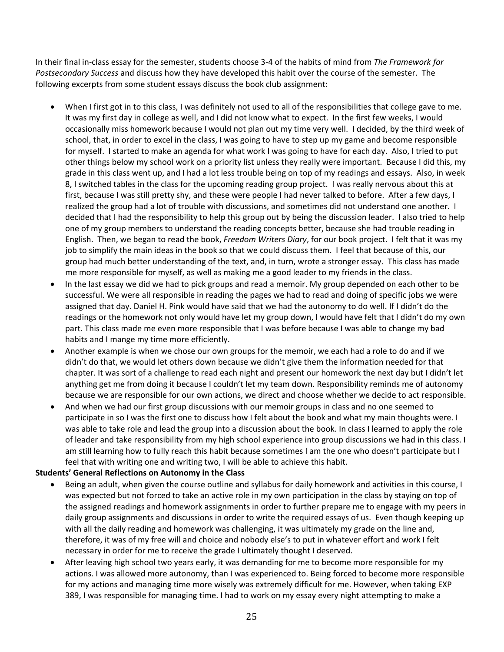In their final in‐class essay for the semester, students choose 3‐4 of the habits of mind from *The Framework for Postsecondary Success* and discuss how they have developed this habit over the course of the semester. The following excerpts from some student essays discuss the book club assignment:

- When I first got in to this class, I was definitely not used to all of the responsibilities that college gave to me. It was my first day in college as well, and I did not know what to expect. In the first few weeks, I would occasionally miss homework because I would not plan out my time very well. I decided, by the third week of school, that, in order to excel in the class, I was going to have to step up my game and become responsible for myself. I started to make an agenda for what work I was going to have for each day. Also, I tried to put other things below my school work on a priority list unless they really were important. Because I did this, my grade in this class went up, and I had a lot less trouble being on top of my readings and essays. Also, in week 8, I switched tables in the class for the upcoming reading group project. I was really nervous about this at first, because I was still pretty shy, and these were people I had never talked to before. After a few days, I realized the group had a lot of trouble with discussions, and sometimes did not understand one another. I decided that I had the responsibility to help this group out by being the discussion leader. I also tried to help one of my group members to understand the reading concepts better, because she had trouble reading in English. Then, we began to read the book, *Freedom Writers Diary*, for our book project. I felt that it was my job to simplify the main ideas in the book so that we could discuss them. I feel that because of this, our group had much better understanding of the text, and, in turn, wrote a stronger essay. This class has made me more responsible for myself, as well as making me a good leader to my friends in the class.
- In the last essay we did we had to pick groups and read a memoir. My group depended on each other to be successful. We were all responsible in reading the pages we had to read and doing of specific jobs we were assigned that day. Daniel H. Pink would have said that we had the autonomy to do well. If I didn't do the readings or the homework not only would have let my group down, I would have felt that I didn't do my own part. This class made me even more responsible that I was before because I was able to change my bad habits and I mange my time more efficiently.
- Another example is when we chose our own groups for the memoir, we each had a role to do and if we didn't do that, we would let others down because we didn't give them the information needed for that chapter. It was sort of a challenge to read each night and present our homework the next day but I didn't let anything get me from doing it because I couldn't let my team down. Responsibility reminds me of autonomy because we are responsible for our own actions, we direct and choose whether we decide to act responsible.
- And when we had our first group discussions with our memoir groups in class and no one seemed to participate in so I was the first one to discuss how I felt about the book and what my main thoughts were. I was able to take role and lead the group into a discussion about the book. In class I learned to apply the role of leader and take responsibility from my high school experience into group discussions we had in this class. I am still learning how to fully reach this habit because sometimes I am the one who doesn't participate but I feel that with writing one and writing two, I will be able to achieve this habit.

#### **Students' General Reflections on Autonomy in the Class**

- Being an adult, when given the course outline and syllabus for daily homework and activities in this course, I was expected but not forced to take an active role in my own participation in the class by staying on top of the assigned readings and homework assignments in order to further prepare me to engage with my peers in daily group assignments and discussions in order to write the required essays of us. Even though keeping up with all the daily reading and homework was challenging, it was ultimately my grade on the line and, therefore, it was of my free will and choice and nobody else's to put in whatever effort and work I felt necessary in order for me to receive the grade I ultimately thought I deserved.
- After leaving high school two years early, it was demanding for me to become more responsible for my actions. I was allowed more autonomy, than I was experienced to. Being forced to become more responsible for my actions and managing time more wisely was extremely difficult for me. However, when taking EXP 389, I was responsible for managing time. I had to work on my essay every night attempting to make a